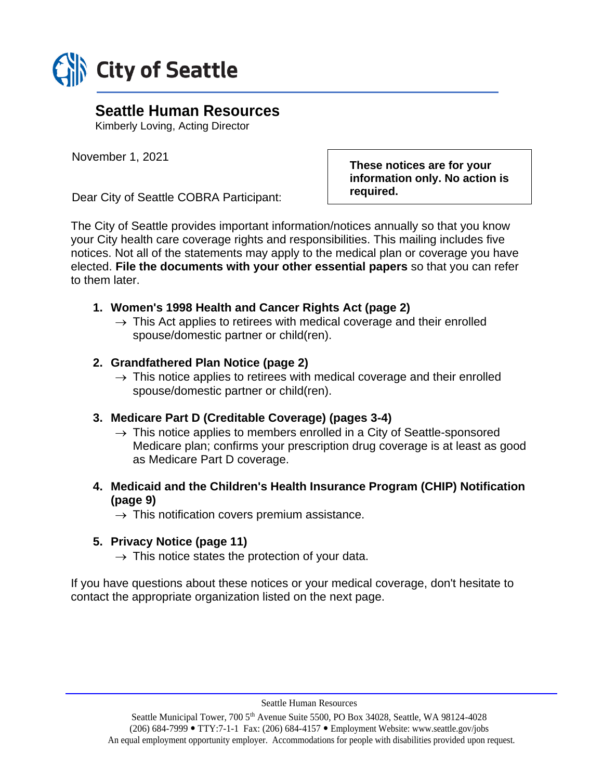

# **Seattle Human Resources**

Kimberly Loving, Acting Director

November 1, 2021

Dear City of Seattle COBRA Participant:

**These notices are for your information only. No action is required.**

The City of Seattle provides important information/notices annually so that you know your City health care coverage rights and responsibilities. This mailing includes five notices. Not all of the statements may apply to the medical plan or coverage you have elected. **File the documents with your other essential papers** so that you can refer to them later.

## **1. Women's 1998 Health and Cancer Rights Act (page 2)**

 $\rightarrow$  This Act applies to retirees with medical coverage and their enrolled spouse/domestic partner or child(ren).

## **2. Grandfathered Plan Notice (page 2)**

 $\rightarrow$  This notice applies to retirees with medical coverage and their enrolled spouse/domestic partner or child(ren).

## **3. Medicare Part D (Creditable Coverage) (pages 3-4)**

- $\rightarrow$  This notice applies to members enrolled in a City of Seattle-sponsored Medicare plan; confirms your prescription drug coverage is at least as good as Medicare Part D coverage.
- **4. Medicaid and the Children's Health Insurance Program (CHIP) Notification (page 9)**

 $\rightarrow$  This notification covers premium assistance.

## **5. Privacy Notice (page 11)**

 $\rightarrow$  This notice states the protection of your data.

If you have questions about these notices or your medical coverage, don't hesitate to contact the appropriate organization listed on the next page.

Seattle Human Resources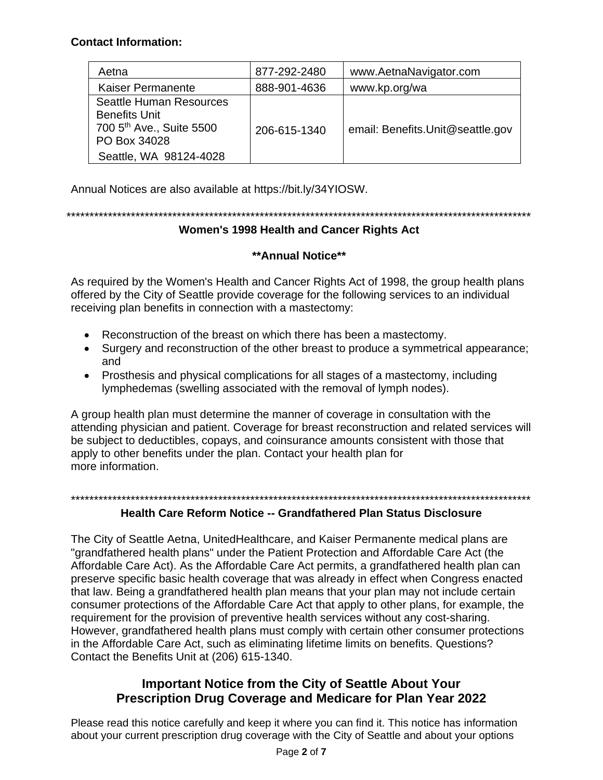### **Contact Information:**

| Aetna                                                                                                                                    | 877-292-2480 | www.AetnaNavigator.com           |
|------------------------------------------------------------------------------------------------------------------------------------------|--------------|----------------------------------|
| Kaiser Permanente                                                                                                                        | 888-901-4636 | www.kp.org/wa                    |
| <b>Seattle Human Resources</b><br><b>Benefits Unit</b><br>700 5 <sup>th</sup> Ave., Suite 5500<br>PO Box 34028<br>Seattle, WA 98124-4028 | 206-615-1340 | email: Benefits.Unit@seattle.gov |

Annual Notices are also available at https://bit.ly/34YIOSW.

\*\*\*\*\*\*\*\*\*\*\*\*\*\*\*\*\*\*\*\*\*\*\*\*\*\*\*\*\*\*\*\*\*\*\*\*\*\*\*\*\*\*\*\*\*\*\*\*\*\*\*\*\*\*\*\*\*\*\*\*\*\*\*\*\*\*\*\*\*\*\*\*\*\*\*\*\*\*\*\*\*\*\*\*\*\*\*\*\*\*\*\*\*\*\*\*\*\*\*\*\*

## **Women's 1998 Health and Cancer Rights Act**

## **\*\*Annual Notice\*\***

As required by the Women's Health and Cancer Rights Act of 1998, the group health plans offered by the City of Seattle provide coverage for the following services to an individual receiving plan benefits in connection with a mastectomy:

- Reconstruction of the breast on which there has been a mastectomy.
- Surgery and reconstruction of the other breast to produce a symmetrical appearance; and
- Prosthesis and physical complications for all stages of a mastectomy, including lymphedemas (swelling associated with the removal of lymph nodes).

A group health plan must determine the manner of coverage in consultation with the attending physician and patient. Coverage for breast reconstruction and related services will be subject to deductibles, copays, and coinsurance amounts consistent with those that apply to other benefits under the plan. Contact your health plan for more information.

### \*\*\*\*\*\*\*\*\*\*\*\*\*\*\*\*\*\*\*\*\*\*\*\*\*\*\*\*\*\*\*\*\*\*\*\*\*\*\*\*\*\*\*\*\*\*\*\*\*\*\*\*\*\*\*\*\*\*\*\*\*\*\*\*\*\*\*\*\*\*\*\*\*\*\*\*\*\*\*\*\*\*\*\*\*\*\*\*\*\*\*\*\*\*\*\*\*\*\*\*

## **Health Care Reform Notice -- Grandfathered Plan Status Disclosure**

The City of Seattle Aetna, UnitedHealthcare, and Kaiser Permanente medical plans are "grandfathered health plans" under the Patient Protection and Affordable Care Act (the Affordable Care Act). As the Affordable Care Act permits, a grandfathered health plan can preserve specific basic health coverage that was already in effect when Congress enacted that law. Being a grandfathered health plan means that your plan may not include certain consumer protections of the Affordable Care Act that apply to other plans, for example, the requirement for the provision of preventive health services without any cost-sharing. However, grandfathered health plans must comply with certain other consumer protections in the Affordable Care Act, such as eliminating lifetime limits on benefits. Questions? Contact the Benefits Unit at (206) 615-1340.

## **Important Notice from the City of Seattle About Your Prescription Drug Coverage and Medicare for Plan Year 2022**

Please read this notice carefully and keep it where you can find it. This notice has information about your current prescription drug coverage with the City of Seattle and about your options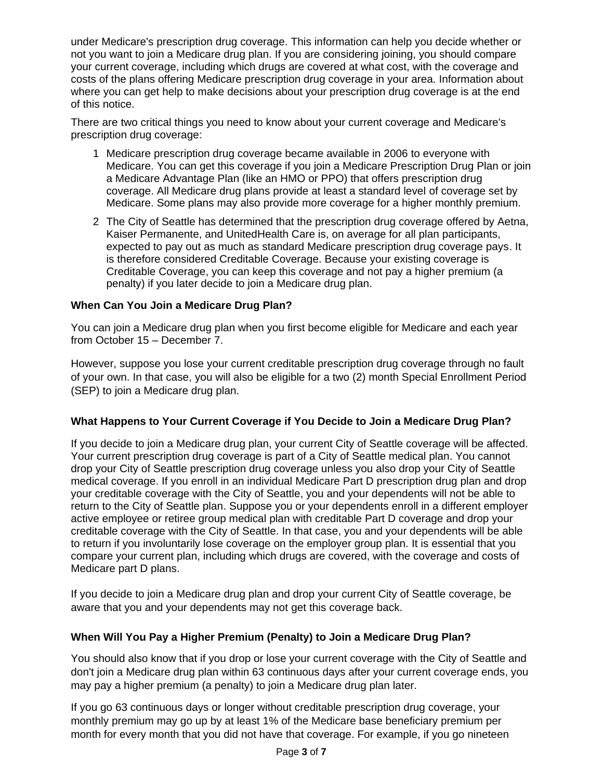under Medicare's prescription drug coverage. This information can help you decide whether or not you want to join a Medicare drug plan. If you are considering joining, you should compare your current coverage, including which drugs are covered at what cost, with the coverage and costs of the plans offering Medicare prescription drug coverage in your area. Information about where you can get help to make decisions about your prescription drug coverage is at the end of this notice.

There are two critical things you need to know about your current coverage and Medicare's prescription drug coverage:

- 1 Medicare prescription drug coverage became available in 2006 to everyone with Medicare. You can get this coverage if you join a Medicare Prescription Drug Plan or join a Medicare Advantage Plan (like an HMO or PPO) that offers prescription drug coverage. All Medicare drug plans provide at least a standard level of coverage set by Medicare. Some plans may also provide more coverage for a higher monthly premium.
- 2 The City of Seattle has determined that the prescription drug coverage offered by Aetna, Kaiser Permanente, and UnitedHealth Care is, on average for all plan participants, expected to pay out as much as standard Medicare prescription drug coverage pays. It is therefore considered Creditable Coverage. Because your existing coverage is Creditable Coverage, you can keep this coverage and not pay a higher premium (a penalty) if you later decide to join a Medicare drug plan.

#### **When Can You Join a Medicare Drug Plan?**

You can join a Medicare drug plan when you first become eligible for Medicare and each year from October 15 – December 7.

However, suppose you lose your current creditable prescription drug coverage through no fault of your own. In that case, you will also be eligible for a two (2) month Special Enrollment Period (SEP) to join a Medicare drug plan.

### **What Happens to Your Current Coverage if You Decide to Join a Medicare Drug Plan?**

If you decide to join a Medicare drug plan, your current City of Seattle coverage will be affected. Your current prescription drug coverage is part of a City of Seattle medical plan. You cannot drop your City of Seattle prescription drug coverage unless you also drop your City of Seattle medical coverage. If you enroll in an individual Medicare Part D prescription drug plan and drop your creditable coverage with the City of Seattle, you and your dependents will not be able to return to the City of Seattle plan. Suppose you or your dependents enroll in a different employer active employee or retiree group medical plan with creditable Part D coverage and drop your creditable coverage with the City of Seattle. In that case, you and your dependents will be able to return if you involuntarily lose coverage on the employer group plan. It is essential that you compare your current plan, including which drugs are covered, with the coverage and costs of Medicare part D plans.

If you decide to join a Medicare drug plan and drop your current City of Seattle coverage, be aware that you and your dependents may not get this coverage back.

### **When Will You Pay a Higher Premium (Penalty) to Join a Medicare Drug Plan?**

You should also know that if you drop or lose your current coverage with the City of Seattle and don't join a Medicare drug plan within 63 continuous days after your current coverage ends, you may pay a higher premium (a penalty) to join a Medicare drug plan later.

If you go 63 continuous days or longer without creditable prescription drug coverage, your monthly premium may go up by at least 1% of the Medicare base beneficiary premium per month for every month that you did not have that coverage. For example, if you go nineteen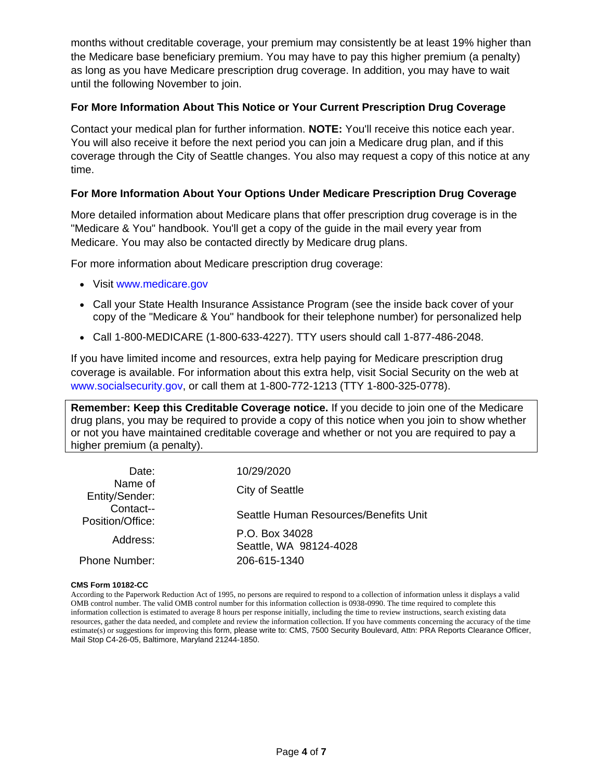months without creditable coverage, your premium may consistently be at least 19% higher than the Medicare base beneficiary premium. You may have to pay this higher premium (a penalty) as long as you have Medicare prescription drug coverage. In addition, you may have to wait until the following November to join.

#### **For More Information About This Notice or Your Current Prescription Drug Coverage**

Contact your medical plan for further information. **NOTE:** You'll receive this notice each year. You will also receive it before the next period you can join a Medicare drug plan, and if this coverage through the City of Seattle changes. You also may request a copy of this notice at any time.

#### **For More Information About Your Options Under Medicare Prescription Drug Coverage**

More detailed information about Medicare plans that offer prescription drug coverage is in the "Medicare & You" handbook. You'll get a copy of the guide in the mail every year from Medicare. You may also be contacted directly by Medicare drug plans.

For more information about Medicare prescription drug coverage:

- Visit www.medicare.gov
- Call your State Health Insurance Assistance Program (see the inside back cover of your copy of the "Medicare & You" handbook for their telephone number) for personalized help
- Call 1-800-MEDICARE (1-800-633-4227). TTY users should call 1-877-486-2048.

If you have limited income and resources, extra help paying for Medicare prescription drug coverage is available. For information about this extra help, visit Social Security on the web at [www.socialsecurity.gov](http://www.socialsecurity.go/), or call them at 1-800-772-1213 (TTY 1-800-325-0778).

**Remember: Keep this Creditable Coverage notice.** If you decide to join one of the Medicare drug plans, you may be required to provide a copy of this notice when you join to show whether or not you have maintained creditable coverage and whether or not you are required to pay a higher premium (a penalty).

| Date:<br>Name of<br>Entity/Sender: | 10/29/2020                               |  |
|------------------------------------|------------------------------------------|--|
|                                    | City of Seattle                          |  |
| Contact--<br>Position/Office:      | Seattle Human Resources/Benefits Unit    |  |
| Address:                           | P.O. Box 34028<br>Seattle, WA 98124-4028 |  |
| <b>Phone Number:</b>               | 206-615-1340                             |  |

#### **CMS Form 10182-CC**

According to the Paperwork Reduction Act of 1995, no persons are required to respond to a collection of information unless it displays a valid OMB control number. The valid OMB control number for this information collection is 0938-0990. The time required to complete this information collection is estimated to average 8 hours per response initially, including the time to review instructions, search existing data resources, gather the data needed, and complete and review the information collection. If you have comments concerning the accuracy of the time estimate(s) or suggestions for improving this form, please write to: CMS, 7500 Security Boulevard, Attn: PRA Reports Clearance Officer, Mail Stop C4-26-05, Baltimore, Maryland 21244-1850.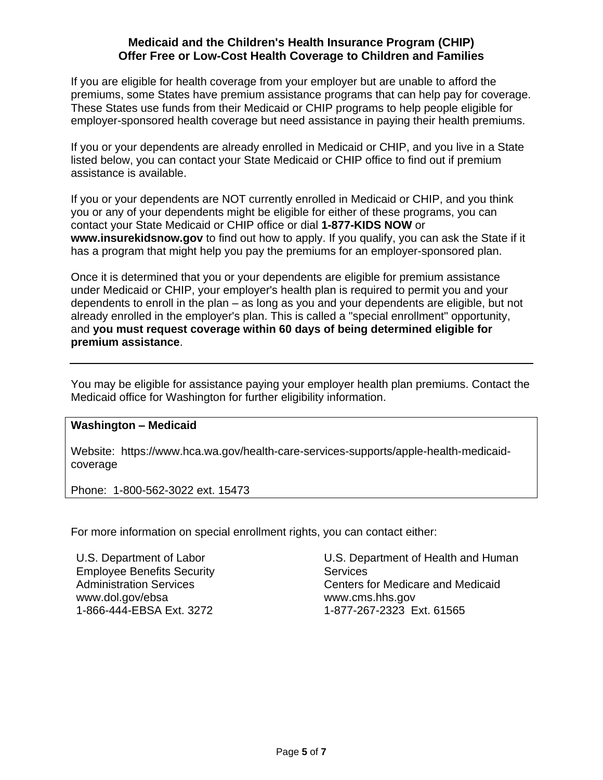#### **Medicaid and the Children's Health Insurance Program (CHIP) Offer Free or Low-Cost Health Coverage to Children and Families**

If you are eligible for health coverage from your employer but are unable to afford the premiums, some States have premium assistance programs that can help pay for coverage. These States use funds from their Medicaid or CHIP programs to help people eligible for employer-sponsored health coverage but need assistance in paying their health premiums.

If you or your dependents are already enrolled in Medicaid or CHIP, and you live in a State listed below, you can contact your State Medicaid or CHIP office to find out if premium assistance is available.

If you or your dependents are NOT currently enrolled in Medicaid or CHIP, and you think you or any of your dependents might be eligible for either of these programs, you can contact your State Medicaid or CHIP office or dial **1-877-KIDS NOW** or **www.insurekidsnow.gov** to find out how to apply. If you qualify, you can ask the State if it has a program that might help you pay the premiums for an employer-sponsored plan.

Once it is determined that you or your dependents are eligible for premium assistance under Medicaid or CHIP, your employer's health plan is required to permit you and your dependents to enroll in the plan – as long as you and your dependents are eligible, but not already enrolled in the employer's plan. This is called a "special enrollment" opportunity, and **you must request coverage within 60 days of being determined eligible for premium assistance**.

You may be eligible for assistance paying your employer health plan premiums. Contact the Medicaid office for Washington for further eligibility information.

#### **Washington – Medicaid**

Website: https://www.hca.wa.gov/health-care-services-supports/apple-health-medicaidcoverage

Phone: 1-800-562-3022 ext. 15473

For more information on special enrollment rights, you can contact either:

U.S. Department of Labor Employee Benefits Security Administration Services www.dol.gov/ebsa 1-866-444-EBSA Ext. 3272

U.S. Department of Health and Human **Services** Centers for Medicare and Medicaid www.cms.hhs.gov 1-877-267-2323 Ext. 61565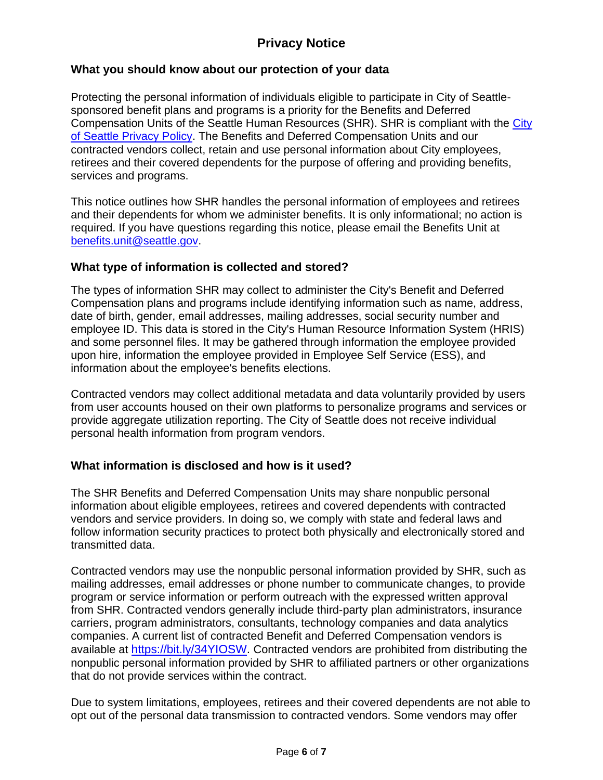# **Privacy Notice**

### **What you should know about our protection of your data**

Protecting the personal information of individuals eligible to participate in City of Seattlesponsored benefit plans and programs is a priority for the Benefits and Deferred Compensation Units of the Seattle Human Resources (SHR). SHR is compliant with the City [of Seattle Privacy Policy.](http://www.seattle.gov/tech/initiatives/privacy/about-the-privacy-program#purpose) The Benefits and Deferred Compensation Units and our contracted vendors collect, retain and use personal information about City employees, retirees and their covered dependents for the purpose of offering and providing benefits, services and programs.

This notice outlines how SHR handles the personal information of employees and retirees and their dependents for whom we administer benefits. It is only informational; no action is required. If you have questions regarding this notice, please email the Benefits Unit at [benefits.unit@seattle.gov.](mailto:benefits.unit@seattle.gov)

### **What type of information is collected and stored?**

The types of information SHR may collect to administer the City's Benefit and Deferred Compensation plans and programs include identifying information such as name, address, date of birth, gender, email addresses, mailing addresses, social security number and employee ID. This data is stored in the City's Human Resource Information System (HRIS) and some personnel files. It may be gathered through information the employee provided upon hire, information the employee provided in Employee Self Service (ESS), and information about the employee's benefits elections.

Contracted vendors may collect additional metadata and data voluntarily provided by users from user accounts housed on their own platforms to personalize programs and services or provide aggregate utilization reporting. The City of Seattle does not receive individual personal health information from program vendors.

### **What information is disclosed and how is it used?**

The SHR Benefits and Deferred Compensation Units may share nonpublic personal information about eligible employees, retirees and covered dependents with contracted vendors and service providers. In doing so, we comply with state and federal laws and follow information security practices to protect both physically and electronically stored and transmitted data.

Contracted vendors may use the nonpublic personal information provided by SHR, such as mailing addresses, email addresses or phone number to communicate changes, to provide program or service information or perform outreach with the expressed written approval from SHR. Contracted vendors generally include third-party plan administrators, insurance carriers, program administrators, consultants, technology companies and data analytics companies. A current list of contracted Benefit and Deferred Compensation vendors is available at [https://bit.ly/34YIOSW.](https://bit.ly/34YIOSW) Contracted vendors are prohibited from distributing the nonpublic personal information provided by SHR to affiliated partners or other organizations that do not provide services within the contract.

Due to system limitations, employees, retirees and their covered dependents are not able to opt out of the personal data transmission to contracted vendors. Some vendors may offer